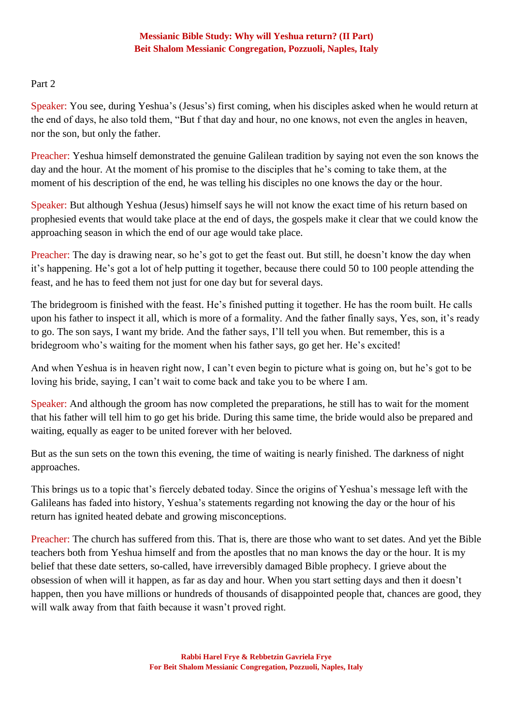# Part 2

Speaker: You see, during Yeshua's (Jesus's) first coming, when his disciples asked when he would return at the end of days, he also told them, "But f that day and hour, no one knows, not even the angles in heaven, nor the son, but only the father.

Preacher: Yeshua himself demonstrated the genuine Galilean tradition by saying not even the son knows the day and the hour. At the moment of his promise to the disciples that he's coming to take them, at the moment of his description of the end, he was telling his disciples no one knows the day or the hour.

Speaker: But although Yeshua (Jesus) himself says he will not know the exact time of his return based on prophesied events that would take place at the end of days, the gospels make it clear that we could know the approaching season in which the end of our age would take place.

Preacher: The day is drawing near, so he's got to get the feast out. But still, he doesn't know the day when it's happening. He's got a lot of help putting it together, because there could 50 to 100 people attending the feast, and he has to feed them not just for one day but for several days.

The bridegroom is finished with the feast. He's finished putting it together. He has the room built. He calls upon his father to inspect it all, which is more of a formality. And the father finally says, Yes, son, it's ready to go. The son says, I want my bride. And the father says, I'll tell you when. But remember, this is a bridegroom who's waiting for the moment when his father says, go get her. He's excited!

And when Yeshua is in heaven right now, I can't even begin to picture what is going on, but he's got to be loving his bride, saying, I can't wait to come back and take you to be where I am.

Speaker: And although the groom has now completed the preparations, he still has to wait for the moment that his father will tell him to go get his bride. During this same time, the bride would also be prepared and waiting, equally as eager to be united forever with her beloved.

But as the sun sets on the town this evening, the time of waiting is nearly finished. The darkness of night approaches.

This brings us to a topic that's fiercely debated today. Since the origins of Yeshua's message left with the Galileans has faded into history, Yeshua's statements regarding not knowing the day or the hour of his return has ignited heated debate and growing misconceptions.

Preacher: The church has suffered from this. That is, there are those who want to set dates. And yet the Bible teachers both from Yeshua himself and from the apostles that no man knows the day or the hour. It is my belief that these date setters, so-called, have irreversibly damaged Bible prophecy. I grieve about the obsession of when will it happen, as far as day and hour. When you start setting days and then it doesn't happen, then you have millions or hundreds of thousands of disappointed people that, chances are good, they will walk away from that faith because it wasn't proved right.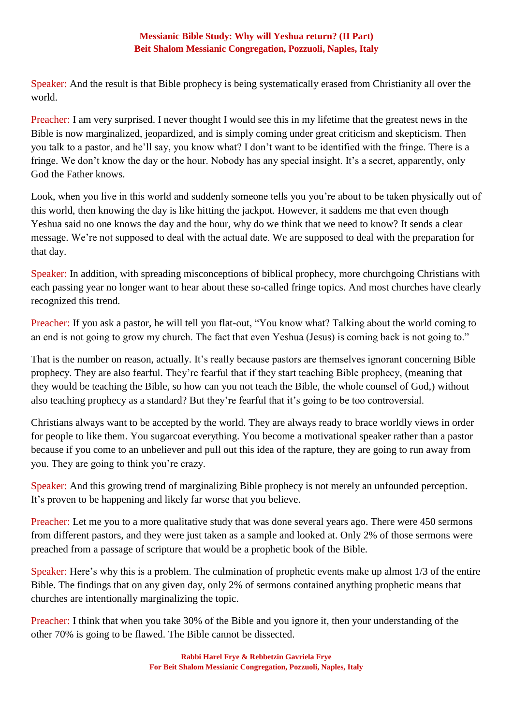Speaker: And the result is that Bible prophecy is being systematically erased from Christianity all over the world.

Preacher: I am very surprised. I never thought I would see this in my lifetime that the greatest news in the Bible is now marginalized, jeopardized, and is simply coming under great criticism and skepticism. Then you talk to a pastor, and he'll say, you know what? I don't want to be identified with the fringe. There is a fringe. We don't know the day or the hour. Nobody has any special insight. It's a secret, apparently, only God the Father knows.

Look, when you live in this world and suddenly someone tells you you're about to be taken physically out of this world, then knowing the day is like hitting the jackpot. However, it saddens me that even though Yeshua said no one knows the day and the hour, why do we think that we need to know? It sends a clear message. We're not supposed to deal with the actual date. We are supposed to deal with the preparation for that day.

Speaker: In addition, with spreading misconceptions of biblical prophecy, more churchgoing Christians with each passing year no longer want to hear about these so-called fringe topics. And most churches have clearly recognized this trend.

Preacher: If you ask a pastor, he will tell you flat-out, "You know what? Talking about the world coming to an end is not going to grow my church. The fact that even Yeshua (Jesus) is coming back is not going to."

That is the number on reason, actually. It's really because pastors are themselves ignorant concerning Bible prophecy. They are also fearful. They're fearful that if they start teaching Bible prophecy, (meaning that they would be teaching the Bible, so how can you not teach the Bible, the whole counsel of God,) without also teaching prophecy as a standard? But they're fearful that it's going to be too controversial.

Christians always want to be accepted by the world. They are always ready to brace worldly views in order for people to like them. You sugarcoat everything. You become a motivational speaker rather than a pastor because if you come to an unbeliever and pull out this idea of the rapture, they are going to run away from you. They are going to think you're crazy.

Speaker: And this growing trend of marginalizing Bible prophecy is not merely an unfounded perception. It's proven to be happening and likely far worse that you believe.

Preacher: Let me you to a more qualitative study that was done several years ago. There were 450 sermons from different pastors, and they were just taken as a sample and looked at. Only 2% of those sermons were preached from a passage of scripture that would be a prophetic book of the Bible.

Speaker: Here's why this is a problem. The culmination of prophetic events make up almost 1/3 of the entire Bible. The findings that on any given day, only 2% of sermons contained anything prophetic means that churches are intentionally marginalizing the topic.

Preacher: I think that when you take 30% of the Bible and you ignore it, then your understanding of the other 70% is going to be flawed. The Bible cannot be dissected.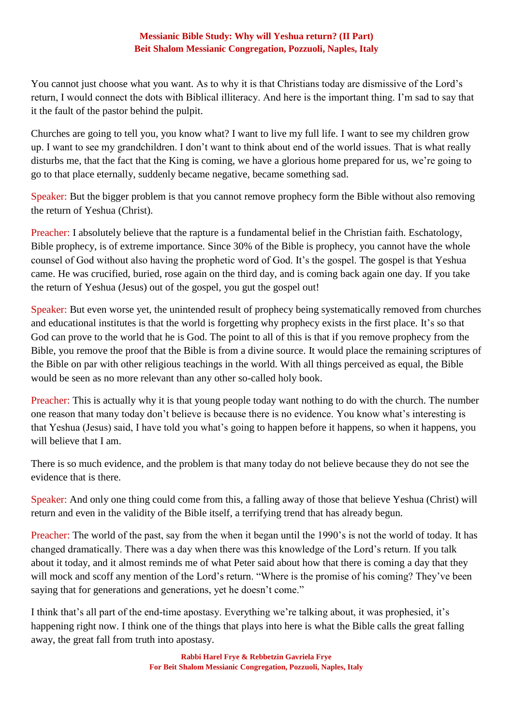You cannot just choose what you want. As to why it is that Christians today are dismissive of the Lord's return, I would connect the dots with Biblical illiteracy. And here is the important thing. I'm sad to say that it the fault of the pastor behind the pulpit.

Churches are going to tell you, you know what? I want to live my full life. I want to see my children grow up. I want to see my grandchildren. I don't want to think about end of the world issues. That is what really disturbs me, that the fact that the King is coming, we have a glorious home prepared for us, we're going to go to that place eternally, suddenly became negative, became something sad.

Speaker: But the bigger problem is that you cannot remove prophecy form the Bible without also removing the return of Yeshua (Christ).

Preacher: I absolutely believe that the rapture is a fundamental belief in the Christian faith. Eschatology, Bible prophecy, is of extreme importance. Since 30% of the Bible is prophecy, you cannot have the whole counsel of God without also having the prophetic word of God. It's the gospel. The gospel is that Yeshua came. He was crucified, buried, rose again on the third day, and is coming back again one day. If you take the return of Yeshua (Jesus) out of the gospel, you gut the gospel out!

Speaker: But even worse yet, the unintended result of prophecy being systematically removed from churches and educational institutes is that the world is forgetting why prophecy exists in the first place. It's so that God can prove to the world that he is God. The point to all of this is that if you remove prophecy from the Bible, you remove the proof that the Bible is from a divine source. It would place the remaining scriptures of the Bible on par with other religious teachings in the world. With all things perceived as equal, the Bible would be seen as no more relevant than any other so-called holy book.

Preacher: This is actually why it is that young people today want nothing to do with the church. The number one reason that many today don't believe is because there is no evidence. You know what's interesting is that Yeshua (Jesus) said, I have told you what's going to happen before it happens, so when it happens, you will believe that I am.

There is so much evidence, and the problem is that many today do not believe because they do not see the evidence that is there.

Speaker: And only one thing could come from this, a falling away of those that believe Yeshua (Christ) will return and even in the validity of the Bible itself, a terrifying trend that has already begun.

Preacher: The world of the past, say from the when it began until the 1990's is not the world of today. It has changed dramatically. There was a day when there was this knowledge of the Lord's return. If you talk about it today, and it almost reminds me of what Peter said about how that there is coming a day that they will mock and scoff any mention of the Lord's return. "Where is the promise of his coming? They've been saying that for generations and generations, yet he doesn't come."

I think that's all part of the end-time apostasy. Everything we're talking about, it was prophesied, it's happening right now. I think one of the things that plays into here is what the Bible calls the great falling away, the great fall from truth into apostasy.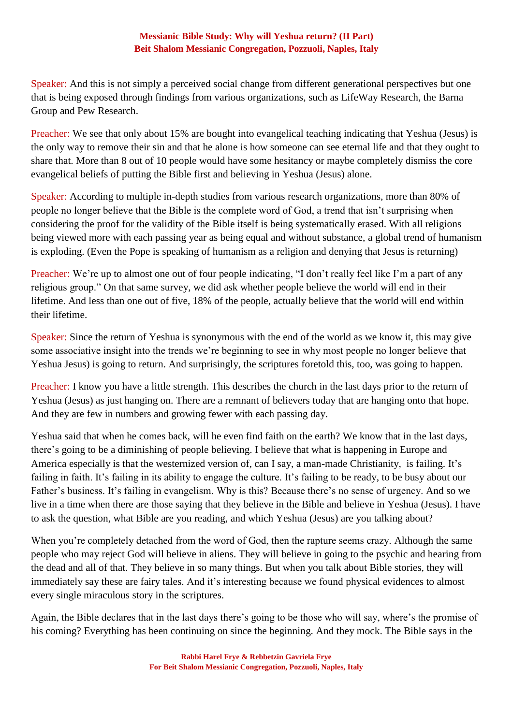Speaker: And this is not simply a perceived social change from different generational perspectives but one that is being exposed through findings from various organizations, such as LifeWay Research, the Barna Group and Pew Research.

Preacher: We see that only about 15% are bought into evangelical teaching indicating that Yeshua (Jesus) is the only way to remove their sin and that he alone is how someone can see eternal life and that they ought to share that. More than 8 out of 10 people would have some hesitancy or maybe completely dismiss the core evangelical beliefs of putting the Bible first and believing in Yeshua (Jesus) alone.

Speaker: According to multiple in-depth studies from various research organizations, more than 80% of people no longer believe that the Bible is the complete word of God, a trend that isn't surprising when considering the proof for the validity of the Bible itself is being systematically erased. With all religions being viewed more with each passing year as being equal and without substance, a global trend of humanism is exploding. (Even the Pope is speaking of humanism as a religion and denying that Jesus is returning)

Preacher: We're up to almost one out of four people indicating, "I don't really feel like I'm a part of any religious group." On that same survey, we did ask whether people believe the world will end in their lifetime. And less than one out of five, 18% of the people, actually believe that the world will end within their lifetime.

Speaker: Since the return of Yeshua is synonymous with the end of the world as we know it, this may give some associative insight into the trends we're beginning to see in why most people no longer believe that Yeshua Jesus) is going to return. And surprisingly, the scriptures foretold this, too, was going to happen.

Preacher: I know you have a little strength. This describes the church in the last days prior to the return of Yeshua (Jesus) as just hanging on. There are a remnant of believers today that are hanging onto that hope. And they are few in numbers and growing fewer with each passing day.

Yeshua said that when he comes back, will he even find faith on the earth? We know that in the last days, there's going to be a diminishing of people believing. I believe that what is happening in Europe and America especially is that the westernized version of, can I say, a man-made Christianity, is failing. It's failing in faith. It's failing in its ability to engage the culture. It's failing to be ready, to be busy about our Father's business. It's failing in evangelism. Why is this? Because there's no sense of urgency. And so we live in a time when there are those saying that they believe in the Bible and believe in Yeshua (Jesus). I have to ask the question, what Bible are you reading, and which Yeshua (Jesus) are you talking about?

When you're completely detached from the word of God, then the rapture seems crazy. Although the same people who may reject God will believe in aliens. They will believe in going to the psychic and hearing from the dead and all of that. They believe in so many things. But when you talk about Bible stories, they will immediately say these are fairy tales. And it's interesting because we found physical evidences to almost every single miraculous story in the scriptures.

Again, the Bible declares that in the last days there's going to be those who will say, where's the promise of his coming? Everything has been continuing on since the beginning. And they mock. The Bible says in the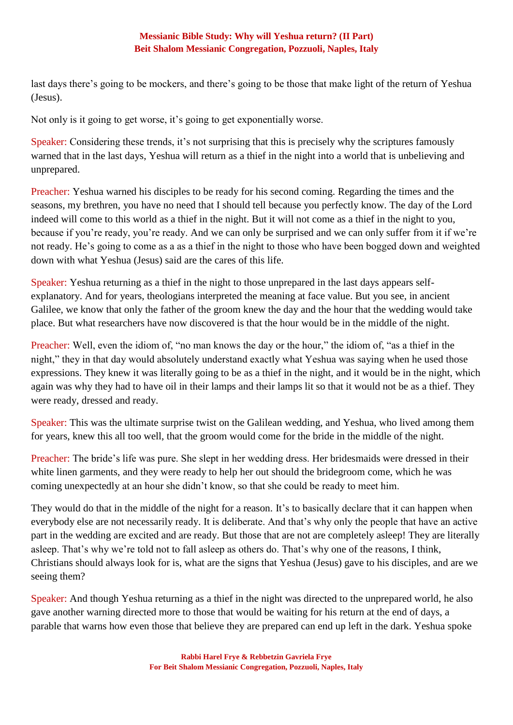last days there's going to be mockers, and there's going to be those that make light of the return of Yeshua (Jesus).

Not only is it going to get worse, it's going to get exponentially worse.

Speaker: Considering these trends, it's not surprising that this is precisely why the scriptures famously warned that in the last days, Yeshua will return as a thief in the night into a world that is unbelieving and unprepared.

Preacher: Yeshua warned his disciples to be ready for his second coming. Regarding the times and the seasons, my brethren, you have no need that I should tell because you perfectly know. The day of the Lord indeed will come to this world as a thief in the night. But it will not come as a thief in the night to you, because if you're ready, you're ready. And we can only be surprised and we can only suffer from it if we're not ready. He's going to come as a as a thief in the night to those who have been bogged down and weighted down with what Yeshua (Jesus) said are the cares of this life.

Speaker: Yeshua returning as a thief in the night to those unprepared in the last days appears selfexplanatory. And for years, theologians interpreted the meaning at face value. But you see, in ancient Galilee, we know that only the father of the groom knew the day and the hour that the wedding would take place. But what researchers have now discovered is that the hour would be in the middle of the night.

Preacher: Well, even the idiom of, "no man knows the day or the hour," the idiom of, "as a thief in the night," they in that day would absolutely understand exactly what Yeshua was saying when he used those expressions. They knew it was literally going to be as a thief in the night, and it would be in the night, which again was why they had to have oil in their lamps and their lamps lit so that it would not be as a thief. They were ready, dressed and ready.

Speaker: This was the ultimate surprise twist on the Galilean wedding, and Yeshua, who lived among them for years, knew this all too well, that the groom would come for the bride in the middle of the night.

Preacher: The bride's life was pure. She slept in her wedding dress. Her bridesmaids were dressed in their white linen garments, and they were ready to help her out should the bridegroom come, which he was coming unexpectedly at an hour she didn't know, so that she could be ready to meet him.

They would do that in the middle of the night for a reason. It's to basically declare that it can happen when everybody else are not necessarily ready. It is deliberate. And that's why only the people that have an active part in the wedding are excited and are ready. But those that are not are completely asleep! They are literally asleep. That's why we're told not to fall asleep as others do. That's why one of the reasons, I think, Christians should always look for is, what are the signs that Yeshua (Jesus) gave to his disciples, and are we seeing them?

Speaker: And though Yeshua returning as a thief in the night was directed to the unprepared world, he also gave another warning directed more to those that would be waiting for his return at the end of days, a parable that warns how even those that believe they are prepared can end up left in the dark. Yeshua spoke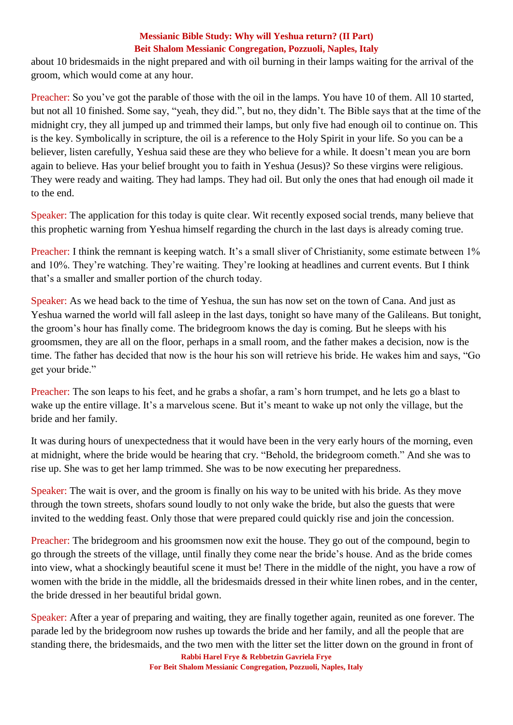about 10 bridesmaids in the night prepared and with oil burning in their lamps waiting for the arrival of the groom, which would come at any hour.

Preacher: So you've got the parable of those with the oil in the lamps. You have 10 of them. All 10 started, but not all 10 finished. Some say, "yeah, they did.", but no, they didn't. The Bible says that at the time of the midnight cry, they all jumped up and trimmed their lamps, but only five had enough oil to continue on. This is the key. Symbolically in scripture, the oil is a reference to the Holy Spirit in your life. So you can be a believer, listen carefully, Yeshua said these are they who believe for a while. It doesn't mean you are born again to believe. Has your belief brought you to faith in Yeshua (Jesus)? So these virgins were religious. They were ready and waiting. They had lamps. They had oil. But only the ones that had enough oil made it to the end.

Speaker: The application for this today is quite clear. Wit recently exposed social trends, many believe that this prophetic warning from Yeshua himself regarding the church in the last days is already coming true.

Preacher: I think the remnant is keeping watch. It's a small sliver of Christianity, some estimate between 1% and 10%. They're watching. They're waiting. They're looking at headlines and current events. But I think that's a smaller and smaller portion of the church today.

Speaker: As we head back to the time of Yeshua, the sun has now set on the town of Cana. And just as Yeshua warned the world will fall asleep in the last days, tonight so have many of the Galileans. But tonight, the groom's hour has finally come. The bridegroom knows the day is coming. But he sleeps with his groomsmen, they are all on the floor, perhaps in a small room, and the father makes a decision, now is the time. The father has decided that now is the hour his son will retrieve his bride. He wakes him and says, "Go get your bride."

Preacher: The son leaps to his feet, and he grabs a shofar, a ram's horn trumpet, and he lets go a blast to wake up the entire village. It's a marvelous scene. But it's meant to wake up not only the village, but the bride and her family.

It was during hours of unexpectedness that it would have been in the very early hours of the morning, even at midnight, where the bride would be hearing that cry. "Behold, the bridegroom cometh." And she was to rise up. She was to get her lamp trimmed. She was to be now executing her preparedness.

Speaker: The wait is over, and the groom is finally on his way to be united with his bride. As they move through the town streets, shofars sound loudly to not only wake the bride, but also the guests that were invited to the wedding feast. Only those that were prepared could quickly rise and join the concession.

Preacher: The bridegroom and his groomsmen now exit the house. They go out of the compound, begin to go through the streets of the village, until finally they come near the bride's house. And as the bride comes into view, what a shockingly beautiful scene it must be! There in the middle of the night, you have a row of women with the bride in the middle, all the bridesmaids dressed in their white linen robes, and in the center, the bride dressed in her beautiful bridal gown.

Speaker: After a year of preparing and waiting, they are finally together again, reunited as one forever. The parade led by the bridegroom now rushes up towards the bride and her family, and all the people that are standing there, the bridesmaids, and the two men with the litter set the litter down on the ground in front of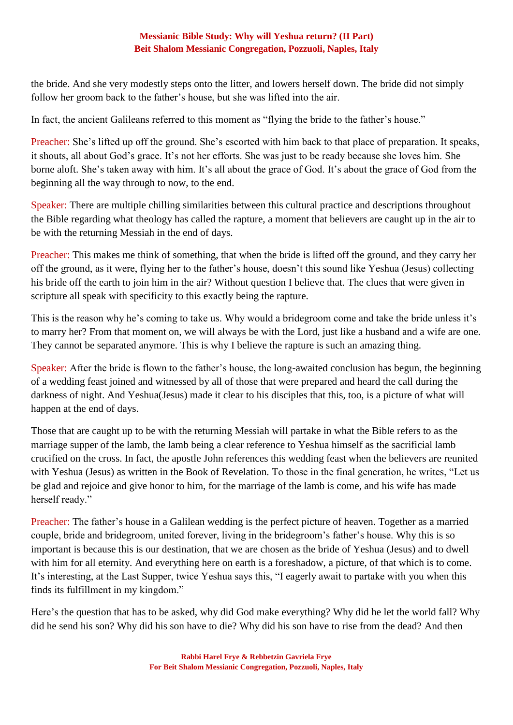the bride. And she very modestly steps onto the litter, and lowers herself down. The bride did not simply follow her groom back to the father's house, but she was lifted into the air.

In fact, the ancient Galileans referred to this moment as "flying the bride to the father's house."

Preacher: She's lifted up off the ground. She's escorted with him back to that place of preparation. It speaks, it shouts, all about God's grace. It's not her efforts. She was just to be ready because she loves him. She borne aloft. She's taken away with him. It's all about the grace of God. It's about the grace of God from the beginning all the way through to now, to the end.

Speaker: There are multiple chilling similarities between this cultural practice and descriptions throughout the Bible regarding what theology has called the rapture, a moment that believers are caught up in the air to be with the returning Messiah in the end of days.

Preacher: This makes me think of something, that when the bride is lifted off the ground, and they carry her off the ground, as it were, flying her to the father's house, doesn't this sound like Yeshua (Jesus) collecting his bride off the earth to join him in the air? Without question I believe that. The clues that were given in scripture all speak with specificity to this exactly being the rapture.

This is the reason why he's coming to take us. Why would a bridegroom come and take the bride unless it's to marry her? From that moment on, we will always be with the Lord, just like a husband and a wife are one. They cannot be separated anymore. This is why I believe the rapture is such an amazing thing.

Speaker: After the bride is flown to the father's house, the long-awaited conclusion has begun, the beginning of a wedding feast joined and witnessed by all of those that were prepared and heard the call during the darkness of night. And Yeshua(Jesus) made it clear to his disciples that this, too, is a picture of what will happen at the end of days.

Those that are caught up to be with the returning Messiah will partake in what the Bible refers to as the marriage supper of the lamb, the lamb being a clear reference to Yeshua himself as the sacrificial lamb crucified on the cross. In fact, the apostle John references this wedding feast when the believers are reunited with Yeshua (Jesus) as written in the Book of Revelation. To those in the final generation, he writes, "Let us be glad and rejoice and give honor to him, for the marriage of the lamb is come, and his wife has made herself ready."

Preacher: The father's house in a Galilean wedding is the perfect picture of heaven. Together as a married couple, bride and bridegroom, united forever, living in the bridegroom's father's house. Why this is so important is because this is our destination, that we are chosen as the bride of Yeshua (Jesus) and to dwell with him for all eternity. And everything here on earth is a foreshadow, a picture, of that which is to come. It's interesting, at the Last Supper, twice Yeshua says this, "I eagerly await to partake with you when this finds its fulfillment in my kingdom."

Here's the question that has to be asked, why did God make everything? Why did he let the world fall? Why did he send his son? Why did his son have to die? Why did his son have to rise from the dead? And then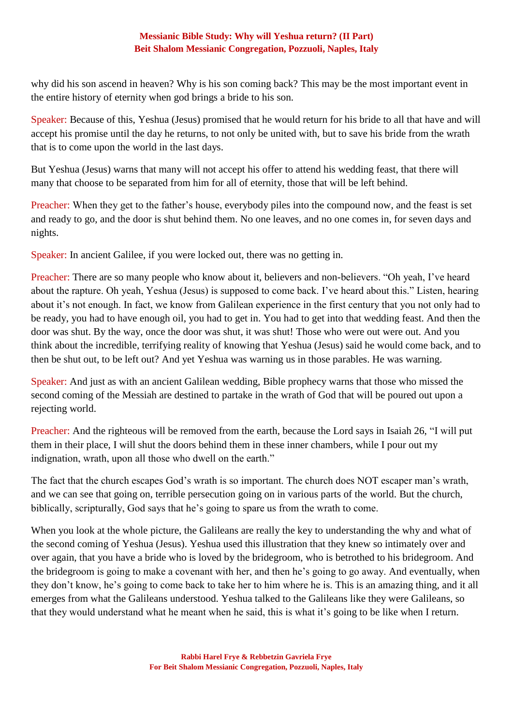why did his son ascend in heaven? Why is his son coming back? This may be the most important event in the entire history of eternity when god brings a bride to his son.

Speaker: Because of this, Yeshua (Jesus) promised that he would return for his bride to all that have and will accept his promise until the day he returns, to not only be united with, but to save his bride from the wrath that is to come upon the world in the last days.

But Yeshua (Jesus) warns that many will not accept his offer to attend his wedding feast, that there will many that choose to be separated from him for all of eternity, those that will be left behind.

Preacher: When they get to the father's house, everybody piles into the compound now, and the feast is set and ready to go, and the door is shut behind them. No one leaves, and no one comes in, for seven days and nights.

Speaker: In ancient Galilee, if you were locked out, there was no getting in.

Preacher: There are so many people who know about it, believers and non-believers. "Oh yeah, I've heard about the rapture. Oh yeah, Yeshua (Jesus) is supposed to come back. I've heard about this." Listen, hearing about it's not enough. In fact, we know from Galilean experience in the first century that you not only had to be ready, you had to have enough oil, you had to get in. You had to get into that wedding feast. And then the door was shut. By the way, once the door was shut, it was shut! Those who were out were out. And you think about the incredible, terrifying reality of knowing that Yeshua (Jesus) said he would come back, and to then be shut out, to be left out? And yet Yeshua was warning us in those parables. He was warning.

Speaker: And just as with an ancient Galilean wedding, Bible prophecy warns that those who missed the second coming of the Messiah are destined to partake in the wrath of God that will be poured out upon a rejecting world.

Preacher: And the righteous will be removed from the earth, because the Lord says in Isaiah 26, "I will put them in their place, I will shut the doors behind them in these inner chambers, while I pour out my indignation, wrath, upon all those who dwell on the earth."

The fact that the church escapes God's wrath is so important. The church does NOT escaper man's wrath, and we can see that going on, terrible persecution going on in various parts of the world. But the church, biblically, scripturally, God says that he's going to spare us from the wrath to come.

When you look at the whole picture, the Galileans are really the key to understanding the why and what of the second coming of Yeshua (Jesus). Yeshua used this illustration that they knew so intimately over and over again, that you have a bride who is loved by the bridegroom, who is betrothed to his bridegroom. And the bridegroom is going to make a covenant with her, and then he's going to go away. And eventually, when they don't know, he's going to come back to take her to him where he is. This is an amazing thing, and it all emerges from what the Galileans understood. Yeshua talked to the Galileans like they were Galileans, so that they would understand what he meant when he said, this is what it's going to be like when I return.